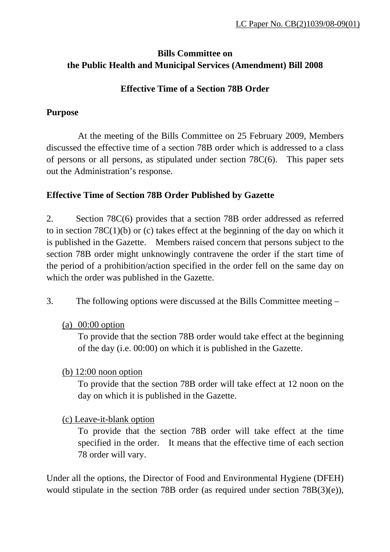## **Bills Committee on the Public Health and Municipal Services (Amendment) Bill 2008**

#### **Effective Time of a Section 78B Order**

#### **Purpose**

 At the meeting of the Bills Committee on 25 February 2009, Members discussed the effective time of a section 78B order which is addressed to a class of persons or all persons, as stipulated under section 78C(6). This paper sets out the Administration's response.

### **Effective Time of Section 78B Order Published by Gazette**

2. Section 78C(6) provides that a section 78B order addressed as referred to in section 78C(1)(b) or (c) takes effect at the beginning of the day on which it is published in the Gazette. Members raised concern that persons subject to the section 78B order might unknowingly contravene the order if the start time of the period of a prohibition/action specified in the order fell on the same day on which the order was published in the Gazette.

- 3. The following options were discussed at the Bills Committee meeting
	- (a) 00:00 option

To provide that the section 78B order would take effect at the beginning of the day (i.e. 00:00) on which it is published in the Gazette.

### (b) 12:00 noon option

 To provide that the section 78B order will take effect at 12 noon on the day on which it is published in the Gazette.

### (c) Leave-it-blank option

To provide that the section 78B order will take effect at the time specified in the order. It means that the effective time of each section 78 order will vary.

Under all the options, the Director of Food and Environmental Hygiene (DFEH) would stipulate in the section 78B order (as required under section 78B(3)(e)),